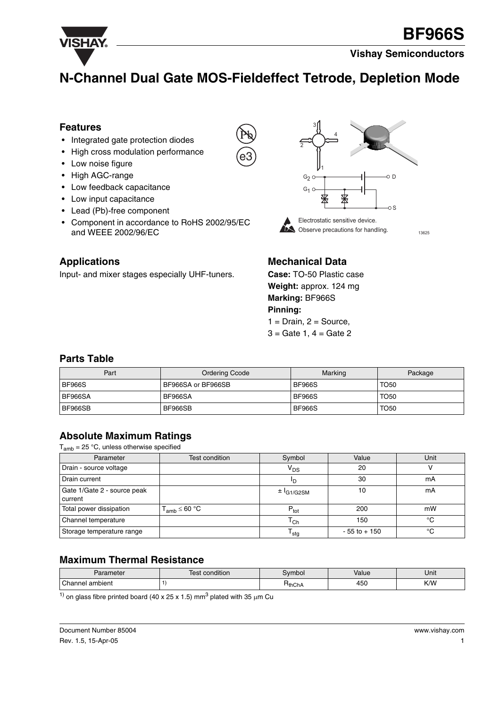

## **N-Channel Dual Gate MOS-Fieldeffect Tetrode, Depletion Mode**

e3

#### **Features**

- Integrated gate protection diodes
- High cross modulation performance
- Low noise figure
- High AGC-range
- Low feedback capacitance
- Low input capacitance
- Lead (Pb)-free component
- Component in accordance to RoHS 2002/95/EC and WEEE 2002/96/EC



## **Applications**

Input- and mixer stages especially UHF-tuners.

## **Mechanical Data**

**Case:** TO-50 Plastic case **Weight:** approx. 124 mg **Marking:** BF966S **Pinning:**  $1 = Drain, 2 = Source,$ 

 $3 =$  Gate 1,  $4 =$  Gate 2

#### **Parts Table**

| Part          | <b>Ordering Ccode</b> | Marking       | Package     |
|---------------|-----------------------|---------------|-------------|
| <b>BF966S</b> | BF966SA or BF966SB    | <b>BF966S</b> | <b>TO50</b> |
| BF966SA       | BF966SA               | <b>BF966S</b> | <b>TO50</b> |
| BF966SB       | BF966SB               | <b>BF966S</b> | <b>TO50</b> |

## **Absolute Maximum Ratings**

 $T<sub>amb</sub> = 25 °C$ , unless otherwise specified

| Parameter                              | Test condition       | Symbol                 | Value           | Unit |
|----------------------------------------|----------------------|------------------------|-----------------|------|
| Drain - source voltage                 |                      | $V_{DS}$               | 20              |      |
| Drain current                          |                      | חי                     | 30              | mA   |
| Gate 1/Gate 2 - source peak<br>current |                      | ± <sup>I</sup> G1/G2SM | 10              | mA   |
| Total power dissipation                | $T_{amb} \leq 60 °C$ | $P_{\text{tot}}$       | 200             | mW   |
| Channel temperature                    |                      | $\mathtt{T_{Ch}}$      | 150             | °C   |
| Storage temperature range              |                      | <sup>I</sup> stg       | $-55$ to $+150$ | °C   |

#### **Maximum Thermal Resistance**

| Parameter       | <br>condition<br>$\alpha$<br>551 | svmbol      | Value | Unit |
|-----------------|----------------------------------|-------------|-------|------|
| Channel ambient |                                  | $H_{thChA}$ | 450   | K/W  |

<sup>1)</sup> on glass fibre printed board (40 x 25 x 1.5) mm<sup>3</sup> plated with 35  $\mu$ m Cu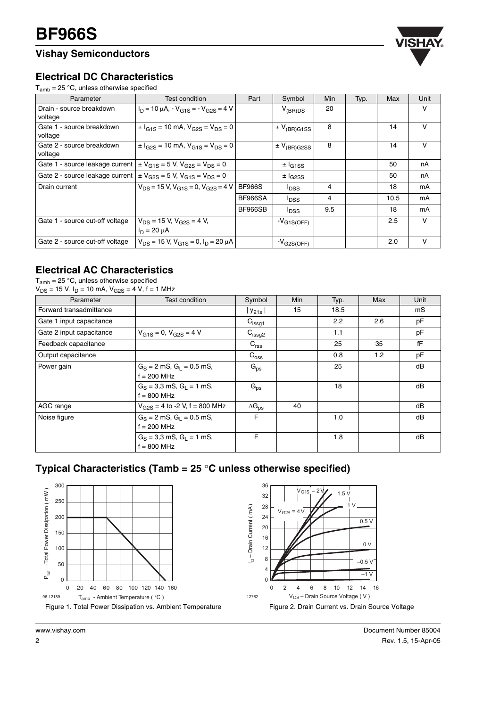## **Vishay Semiconductors**



#### **Electrical DC Characteristics**

 $T_{amb}$  = 25 °C, unless otherwise specified

| Parameter                                                                          | Test condition                                                       | Part           | Symbol                                   | Min | Typ. | Max  | Unit |
|------------------------------------------------------------------------------------|----------------------------------------------------------------------|----------------|------------------------------------------|-----|------|------|------|
| Drain - source breakdown<br>voltage                                                | $I_D = 10 \mu A$ , $-V_{G1S} = -V_{G2S} = 4 V$                       |                | $V_{(BR)DS}$                             | 20  |      |      | V    |
| Gate 1 - source breakdown<br>voltage                                               | $\pm I_{G1S}$ = 10 mA, $V_{G2S}$ = $V_{DS}$ = 0                      |                | $\pm$ V <sub>(BR)G1SS</sub>              | 8   |      | 14   | v    |
| Gate 2 - source breakdown<br>voltage                                               | $\pm I_{G2S}$ = 10 mA, $V_{G1S}$ = $V_{DS}$ = 0                      |                | $\pm$ V <sub>(BR)</sub> G <sub>2SS</sub> | 8   |      | 14   | V    |
| Gate 1 - source leakage current                                                    | $\pm$ V <sub>G1S</sub> = 5 V, V <sub>G2S</sub> = V <sub>DS</sub> = 0 |                | $\pm I_{G1SS}$                           |     |      | 50   | nA   |
| Gate 2 - source leakage current $\vert \pm V_{G2S} = 5 V$ , $V_{G1S} = V_{DS} = 0$ |                                                                      |                | $\pm$ $I_{G2SS}$                         |     |      | 50   | nA   |
| Drain current                                                                      | $V_{DS}$ = 15 V, $V_{G1S}$ = 0, $V_{G2S}$ = 4 V                      | <b>BF966S</b>  | <sup>l</sup> DSS                         | 4   |      | 18   | mA   |
|                                                                                    |                                                                      | <b>BF966SA</b> | <sup>I</sup> DSS                         | 4   |      | 10.5 | mA   |
|                                                                                    |                                                                      | <b>BF966SB</b> | <sup>l</sup> DSS                         | 9.5 |      | 18   | mA   |
| Gate 1 - source cut-off voltage                                                    | $V_{DS}$ = 15 V, $V_{G2S}$ = 4 V,<br>$I_D = 20 \mu A$                |                | $-V_{G1S(OFF)}$                          |     |      | 2.5  | V    |
| Gate 2 - source cut-off voltage                                                    | $V_{DS}$ = 15 V, $V_{G1S}$ = 0, $I_D$ = 20 $\mu$ A                   |                | $-V_{\rm G2S(OFF)}$                      |     |      | 2.0  | V    |

#### **Electrical AC Characteristics**

 ${\sf T}_{\sf amb}$  = 25 °C, unless otherwise specified

| $V_{DS}$ = 15 V, I <sub>D</sub> = 10 mA, V <sub>G2S</sub> = 4 V, f = 1 MHz |                                                |                      |            |      |     |      |  |
|----------------------------------------------------------------------------|------------------------------------------------|----------------------|------------|------|-----|------|--|
| Parameter                                                                  | Test condition                                 | Symbol               | <b>Min</b> | Typ. | Max | Unit |  |
| Forward transadmittance                                                    |                                                | l Y <sub>21s</sub> I | 15         | 18.5 |     | mS   |  |
| Gate 1 input capacitance                                                   |                                                | $C_{\text{issg1}}$   |            | 2.2  | 2.6 | pF   |  |
| Gate 2 input capacitance                                                   | $V_{G1S} = 0$ , $V_{G2S} = 4$ V                | $C_{\text{issg2}}$   |            | 1.1  |     | pF   |  |
| Feedback capacitance                                                       |                                                | $C_{\text{rss}}$     |            | 25   | 35  | fF   |  |
| Output capacitance                                                         |                                                | $C_{\rm oss}$        |            | 0.8  | 1.2 | рF   |  |
| Power gain                                                                 | $G_S = 2$ mS, $G_I = 0.5$ mS,<br>$f = 200$ MHz | $G_{ps}$             |            | 25   |     | dB   |  |
|                                                                            | $G_S = 3.3$ mS, $G_I = 1$ mS,<br>$f = 800$ MHz | $G_{ps}$             |            | 18   |     | dB   |  |
| AGC range                                                                  | $V_{G2S}$ = 4 to -2 V, f = 800 MHz             | $\Delta G_{DS}$      | 40         |      |     | dB   |  |
| Noise figure                                                               | $G_S = 2$ mS, $G_I = 0.5$ mS,<br>$f = 200$ MHz | F.                   |            | 1.0  |     | dB   |  |
|                                                                            | $G_S = 3.3$ mS, $G_I = 1$ mS,<br>$f = 800$ MHz | F                    |            | 1.8  |     | dB   |  |

## **Typical Characteristics (Tamb = 25** °**C unless otherwise specified)**

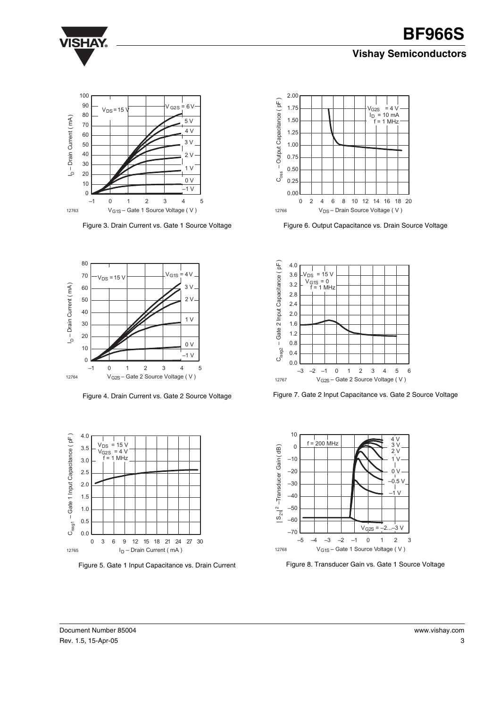#### **Vishay Semiconductors**



Figure 3. Drain Current vs. Gate 1 Source Voltage



Figure 4. Drain Current vs. Gate 2 Source Voltage



Figure 5. Gate 1 Input Capacitance vs. Drain Current



Figure 6. Output Capacitance vs. Drain Source Voltage

![](_page_2_Figure_10.jpeg)

Figure 7. Gate 2 Input Capacitance vs. Gate 2 Source Voltage

![](_page_2_Figure_12.jpeg)

Figure 8. Transducer Gain vs. Gate 1 Source Voltage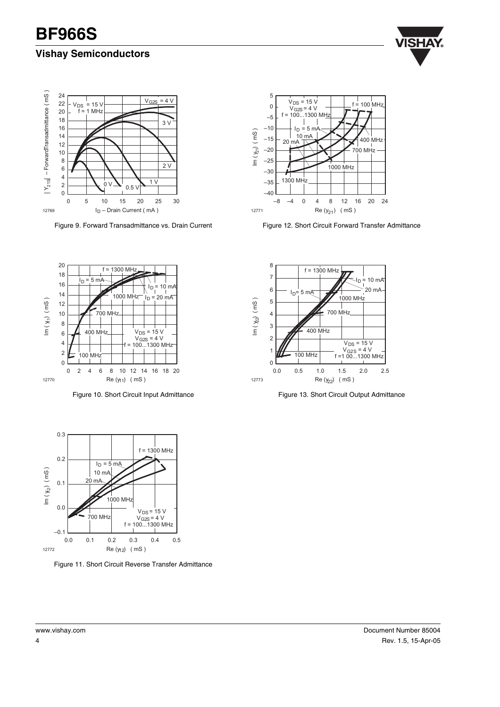### **Vishay Semiconductors**

![](_page_3_Picture_2.jpeg)

![](_page_3_Figure_3.jpeg)

Figure 9. Forward Transadmittance vs. Drain Current

![](_page_3_Figure_5.jpeg)

Figure 12. Short Circuit Forward Transfer Admittance

![](_page_3_Figure_7.jpeg)

Figure 10. Short Circuit Input Admittance

![](_page_3_Figure_9.jpeg)

Figure 13. Short Circuit Output Admittance

![](_page_3_Figure_11.jpeg)

Figure 11. Short Circuit Reverse Transfer Admittance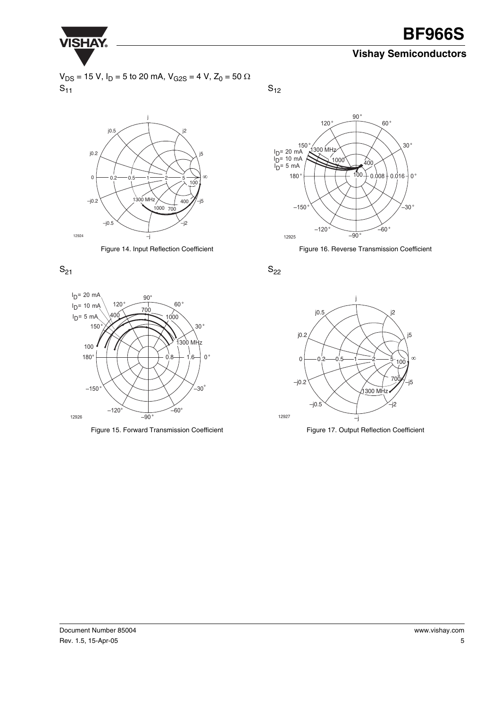![](_page_4_Picture_0.jpeg)

#### **Vishay Semiconductors**

 $V_{DS}$  = 15 V, I<sub>D</sub> = 5 to 20 mA, V<sub>G2S</sub> = 4 V, Z<sub>0</sub> = 50 Ω  $\mathsf{S}_{11}$ 

![](_page_4_Figure_4.jpeg)

Figure 14. Input Reflection Coefficient

![](_page_4_Figure_6.jpeg)

![](_page_4_Figure_7.jpeg)

Figure 15. Forward Transmission Coefficient

 $S_{12}$ 

![](_page_4_Figure_10.jpeg)

Figure 16. Reverse Transmission Coefficient

 $S_{22}$ 

![](_page_4_Figure_13.jpeg)

![](_page_4_Figure_14.jpeg)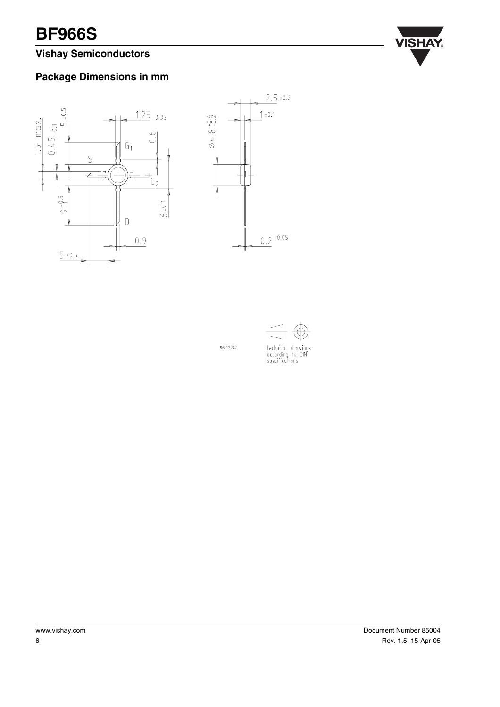## **Vishay Semiconductors**

![](_page_5_Picture_2.jpeg)

## **Package Dimensions in mm**

![](_page_5_Figure_4.jpeg)

![](_page_5_Figure_5.jpeg)

96 12242

![](_page_5_Figure_6.jpeg)

technical drawings<br>according to DIN<br>specifications

www.vishay.com